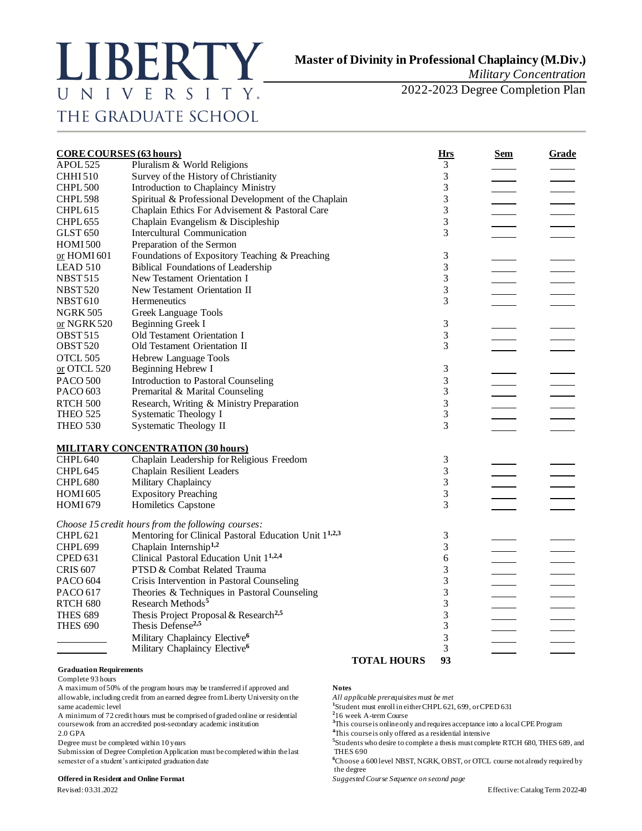# LIBERTY UNIVERSITY. THE GRADUATE SCHOOL

*Military Concentration* 

2022-2023 Degree Completion Plan

| <b>CORE COURSES (63 hours)</b> |                                                                   |                    | <b>Hrs</b>     | Sem | Grade |
|--------------------------------|-------------------------------------------------------------------|--------------------|----------------|-----|-------|
| APOL 525                       | Pluralism & World Religions                                       |                    | 3              |     |       |
| <b>CHHI510</b>                 | Survey of the History of Christianity                             |                    | 3              |     |       |
| CHPL <sub>500</sub>            | Introduction to Chaplaincy Ministry                               |                    | 3              |     |       |
| CHPL 598                       | Spiritual & Professional Development of the Chaplain              |                    | 3              |     |       |
| CHPL <sub>615</sub>            | Chaplain Ethics For Advisement & Pastoral Care                    |                    | 3              |     |       |
| CHPL 655                       | Chaplain Evangelism & Discipleship                                |                    | $\overline{3}$ |     |       |
| <b>GLST 650</b>                | Intercultural Communication                                       |                    | 3              |     |       |
| <b>HOMI500</b>                 | Preparation of the Sermon                                         |                    |                |     |       |
| or HOMI 601                    | Foundations of Expository Teaching & Preaching                    |                    | 3              |     |       |
| <b>LEAD 510</b>                | <b>Biblical Foundations of Leadership</b>                         |                    | 3              |     |       |
| <b>NBST515</b>                 | New Testament Orientation I                                       |                    | 3              |     |       |
| <b>NBST520</b>                 | New Testament Orientation II                                      |                    | 3              |     |       |
| <b>NBST610</b>                 | Hermeneutics                                                      |                    | 3              |     |       |
| <b>NGRK 505</b>                | Greek Language Tools                                              |                    |                |     |       |
| or NGRK 520                    | Beginning Greek I                                                 |                    | 3              |     |       |
| <b>OBST515</b>                 | Old Testament Orientation I                                       |                    | 3              |     |       |
| <b>OBST 520</b>                | Old Testament Orientation II                                      |                    | 3              |     |       |
| OTCL 505                       | <b>Hebrew Language Tools</b>                                      |                    |                |     |       |
| or OTCL 520                    | Beginning Hebrew I                                                |                    | 3              |     |       |
| <b>PACO 500</b>                | Introduction to Pastoral Counseling                               |                    | 3              |     |       |
| PACO 603                       | Premarital & Marital Counseling                                   |                    | 3              |     |       |
| <b>RTCH 500</b>                | Research, Writing & Ministry Preparation                          |                    | 3              |     |       |
| <b>THEO 525</b>                | Systematic Theology I                                             |                    | 3              |     |       |
| THEO 530                       | <b>Systematic Theology II</b>                                     |                    | 3              |     |       |
|                                | <b>MILITARY CONCENTRATION (30 hours)</b>                          |                    |                |     |       |
| CHPL 640                       | Chaplain Leadership for Religious Freedom                         |                    | 3              |     |       |
| CHPL <sub>645</sub>            | Chaplain Resilient Leaders                                        |                    | 3              |     |       |
| CHPL <sub>680</sub>            | Military Chaplaincy                                               |                    | 3              |     |       |
| <b>HOMI 605</b>                | <b>Expository Preaching</b>                                       |                    | 3              |     |       |
| <b>HOMI 679</b>                | Homiletics Capstone                                               |                    | 3              |     |       |
|                                | Choose 15 credit hours from the following courses:                |                    |                |     |       |
| CHPL <sub>621</sub>            | Mentoring for Clinical Pastoral Education Unit 1 <sup>1,2,3</sup> |                    | 3              |     |       |
| <b>CHPL 699</b>                | Chaplain Internship <sup>1,2</sup>                                |                    | 3              |     |       |
| <b>CPED 631</b>                | Clinical Pastoral Education Unit 1 <sup>1,2,4</sup>               |                    | 6              |     |       |
| <b>CRIS 607</b>                | PTSD & Combat Related Trauma                                      |                    | 3              |     |       |
| <b>PACO 604</b>                | Crisis Intervention in Pastoral Counseling                        |                    | 3              |     |       |
| PACO 617                       | Theories & Techniques in Pastoral Counseling                      |                    | 3              |     |       |
| RTCH 680                       | Research Methods <sup>5</sup>                                     |                    | 3              |     |       |
| <b>THES 689</b>                | Thesis Project Proposal & Research <sup>2,5</sup>                 |                    | 3              |     |       |
| <b>THES 690</b>                | Thesis Defense <sup>2,5</sup>                                     |                    | 3              |     |       |
|                                | Military Chaplaincy Elective <sup>6</sup>                         |                    | 3              |     |       |
|                                | Military Chaplaincy Elective <sup>6</sup>                         |                    | 3              |     |       |
|                                |                                                                   | <b>TOTAL HOURS</b> | 93             |     |       |

### **Graduation Requirements**

Complete 93 hours

A maximum of 50% of the program hours may be transferred if approved and **Notes** allowable, including credit from an earned degree from Liberty University on the *All applicable prerequisites must be met* same academic level **<sup>1</sup>**

A minimum of 72 credit hours must be comprised of graded online or residential **<sup>2</sup>** coursework from an accredited post-secondary academic institution **<sup>3</sup>**This course is online only and requires acceptance into a local CPE Program

Degree must be completed within 10 years **<sup>5</sup>**

Submission of Degree Completion Application must be completed within the last THES 690 semester of a student's anticipated graduation date **6**Choose a 600 level NBST, NGRK, OBST, or OTCL course not already required by

### **Offered in Resident and Online Format** *Suggested Course Sequence on second page*

<sup>1</sup>Student must enroll in either CHPL 621, 699, or CPED 631

<sup>2</sup>16 week A-term Course

2.0 GPA **4**This course is only offered as a residential intensive

Students who desire to complete a thesis must complete RTCH 680, THES 689, and

the degree